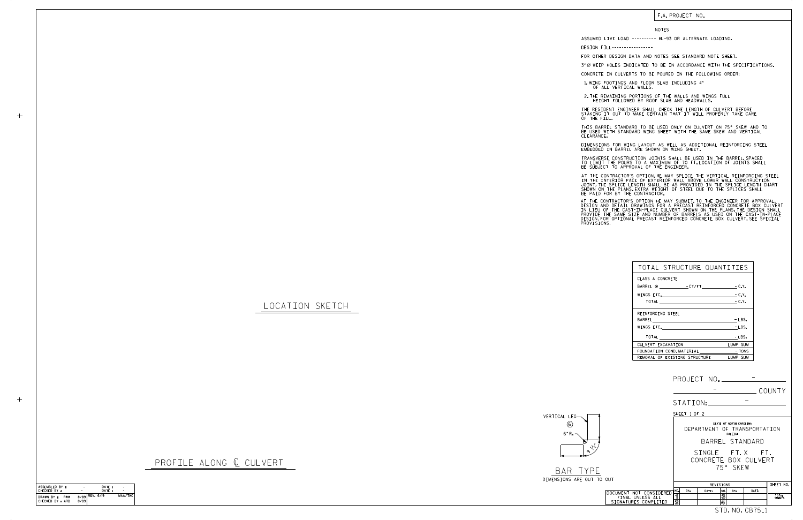LOCATION SKETCH



BAR TYP DIMENSIONS ARE OUT

PROFILE ALONG  $C$  CULVERT

## F.A. PROJECT NO.

## NOTES

DESIGN FILL-----------------

FOR OTHER DESIGN DATA AND NOTES SEE STANDARD NOTE SHEET.

3" Ø WEEP HOLES INDICATED TO BE IN ACCORDANCE WITH THE SPECIFICATIONS.

CONCRETE IN CULVERTS TO BE POURED IN THE FOLLOWING ORDER:

1.WING FOOTINGS AND FLOOR SLAB INCLUDING 4"<br>OF ALL VERTICAL WALLS.

2.THE REMAINING PORTIONS OF THE WALLS AND WINGS FULL<br>HEIGHT FOLLOWED BY ROOF SLAB AND HEADWALLS.

THE RESIDENT ENGINEER SHALL CHECK THE LENGTH OF CULVERT BEFORE<br>STAKING IT OUT TO MAKE CERTAIN THAT IT WILL PROPERLY TAKE CARE<br>OF THE FILL.

BE USED WITH STANDARD WING SHEET WITH THE SAME SKEW AND VERTICAL CLEARANCE. THIS BARREL STANDARD TO BE USED ONLY ON CULVERT ON 75° SKEW AND TO

DIMENSIONS FOR WING LAYOUT AS WELL AS ADDITIONAL REINFORCING STEEL<br>EMBEDDED IN BARREL ARE SHOWN ON WING SHEET.

TRANSVERSE CONSTRUCTION JOINTS SHALL BE USED IN THE BARREL,SPACED<br>TO LIMIT THE POURS TO A MAXIMUM OF 70 FT.LOCATION OF JOINTS SHALL<br>BE SUBJECT TO APPROVAL OF THE ENGINEER.

IN THE INTERIOR FACE OF EXTERIOR WALL ABOVE LOWER WALL CONSTRUCTION<br>JOINT.THE SPLICE LENGTH SHALL BE AS PROVIDED IN THE SPLICE LENGTH CHART<br>SHOWN ON THE PLANS.EXTRA WEIGHT OF STEEL DUE TO THE SPLICES SHALL<br>BE PAID FOR BY T AT THE CONTRACTOR'S OPTION, HE MAY SPLICE THE VERTICAL REINFORCING STEEL

AT THE CONTRACTOR'S OPTION HE MAY SUBMIT, TO THE ENGINEER FOR APPROVAL,<br>DESIGN AND DETAIL DRAWINGS FOR A PRECAST REINFORCED CONCRETE BOX CULVERT<br>IN LIEU OF THE CAST-IN-PLACE CULVERT SHOWN ON THE PLANS, THE DESIGN SHALL<br>PRO

|            |                                                                     |                                                                                       |              |           |                |     |                             | COUNTY          |
|------------|---------------------------------------------------------------------|---------------------------------------------------------------------------------------|--------------|-----------|----------------|-----|-----------------------------|-----------------|
|            |                                                                     |                                                                                       |              | STATION:  |                |     |                             |                 |
|            |                                                                     |                                                                                       | SHEET 1 OF 2 |           |                |     |                             |                 |
|            |                                                                     | STATE OF NORTH CAROLINA<br>DEPARTMENT OF TRANSPORTATION<br>RALEIGH<br>BARREL STANDARD |              |           |                |     |                             |                 |
| $\sqrt{v}$ |                                                                     | SINGLE FT.X FT.<br>CONCRETE BOX CULVERT<br>75° SKFW                                   |              |           |                |     |                             |                 |
| T TO OUT   |                                                                     |                                                                                       |              |           |                |     |                             |                 |
|            |                                                                     |                                                                                       |              | SHEET NO. |                |     |                             |                 |
|            | DOCUMENT NOT CONSIDERED<br>FINAL UNLESS ALL<br>SIGNATURES COMPLETED | NO.<br>ี่ โ<br>$\overline{2}$                                                         | BY:          | DATE:     | NO.<br>මූ<br>4 | BY: | DATE:                       | TOTAL<br>SHEETS |
|            |                                                                     |                                                                                       |              |           |                |     | STD. NO. CB75 <sub>-1</sub> |                 |

| TOTAL STRUCTURE QUANTITIES    |          |
|-------------------------------|----------|
| CLASS A CONCRETE              |          |
| BARREL @ CY/FT - C.Y.         |          |
| WINGS ETC.                    | - C.Y.   |
|                               | $-C.Y.$  |
| REINFORCING STEEL             |          |
|                               | $-LBS.$  |
|                               | - LBS.   |
|                               | - LBS.   |
| CULVERT EXCAVATION            | LUMP SUM |
| FOUNDATION COND.MATERIAL      | - TONS   |
| REMOVAL OF EXISTING STRUCTURE | LUMP SUM |

ASSUMED LIVE LOAD ---------- HL-93 OR ALTERNATE LOADING.

| ASSEMBLED BY :                        | ۰    | DATE:              |         |
|---------------------------------------|------|--------------------|---------|
| CHECKED BY :                          |      | DATF:              |         |
| DRAWN BY :<br>RWW<br>CHECKED BY : ARB | 8/89 | $8/89$ REV. $6/19$ | MAA/THC |

 $+$